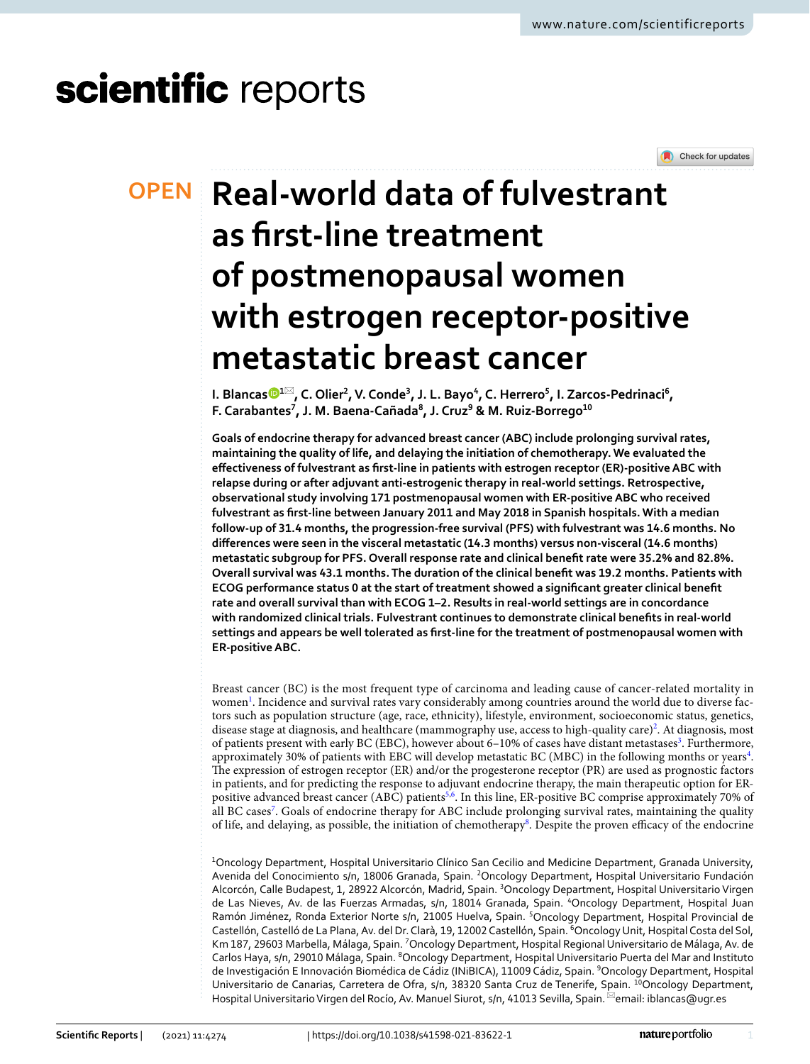# scientific reports



# **Real‑world data of fulvestrant OPEN as frst‑line treatment of postmenopausal women with estrogen receptor‑positive metastatic breast cancer**

**1. Blanca[s](http://orcid.org/0000-0002-5867-6615)⊙1⊠, C. Olier<sup>2</sup>, V. Conde<sup>3</sup>, J. L. Bayo<sup>4</sup>, C. Herrero<sup>5</sup>, I. Zarcos-Pedrinaci<sup>6</sup>, F. Carabantes7 , J. M. Baena‑Cañada8 , J. Cruz9 & M. Ruiz‑Borrego10**

**Goals of endocrine therapy for advanced breast cancer (ABC) include prolonging survival rates, maintaining the quality of life, and delaying the initiation of chemotherapy. We evaluated the efectiveness of fulvestrant as frst-line in patients with estrogen receptor (ER)-positive ABC with relapse during or after adjuvant anti-estrogenic therapy in real-world settings. Retrospective, observational study involving 171 postmenopausal women with ER-positive ABC who received fulvestrant as frst-line between January 2011 and May 2018 in Spanish hospitals. With a median follow-up of 31.4 months, the progression-free survival (PFS) with fulvestrant was 14.6 months. No diferences were seen in the visceral metastatic (14.3 months) versus non-visceral (14.6 months) metastatic subgroup for PFS. Overall response rate and clinical beneft rate were 35.2% and 82.8%. Overall survival was 43.1 months. The duration of the clinical beneft was 19.2 months. Patients with ECOG performance status 0 at the start of treatment showed a signifcant greater clinical beneft rate and overall survival than with ECOG 1–2. Results in real-world settings are in concordance with randomized clinical trials. Fulvestrant continues to demonstrate clinical benefts in real-world settings and appears be well tolerated as frst-line for the treatment of postmenopausal women with ER-positive ABC.**

Breast cancer (BC) is the most frequent type of carcinoma and leading cause of cancer-related mortality in women<sup>[1](#page-7-0)</sup>. Incidence and survival rates vary considerably among countries around the world due to diverse factors such as population structure (age, race, ethnicity), lifestyle, environment, socioeconomic status, genetics, disease stage at diagnosis, and healthcare (mammography use, access to high-quality care)<sup>2</sup>. At diagnosis, most of patients present with early BC (EBC), however about 6-10% of cases have distant metastases<sup>3</sup>. Furthermore, approximately 30% of patients with EBC will develop metastatic BC (MBC) in the following months or years<sup>4</sup>. The expression of estrogen receptor (ER) and/or the progesterone receptor (PR) are used as prognostic factors in patients, and for predicting the response to adjuvant endocrine therapy, the main therapeutic option for ER-positive advanced breast cancer (ABC) patients<sup>[5](#page-7-4),[6](#page-7-5)</sup>. In this line, ER-positive BC comprise approximately 70% of all BC cases<sup>[7](#page-7-6)</sup>. Goals of endocrine therapy for ABC include prolonging survival rates, maintaining the quality of life, and delaying, as possible, the initiation of chemotherapy<sup>8</sup>. Despite the proven efficacy of the endocrine

<sup>1</sup>Oncology Department, Hospital Universitario Clínico San Cecilio and Medicine Department, Granada University, Avenida del Conocimiento s/n, 18006 Granada, Spain. <sup>2</sup>Oncology Department, Hospital Universitario Fundación Alcorcón, Calle Budapest, 1, 28922 Alcorcón, Madrid, Spain. <sup>3</sup>Oncology Department, Hospital Universitario Virgen de Las Nieves, Av. de las Fuerzas Armadas, s/n, 18014 Granada, Spain. 4Oncology Department, Hospital Juan Ramón Jiménez, Ronda Exterior Norte s/n, 21005 Huelva, Spain. <sup>5</sup>Oncology Department, Hospital Provincial de Castellón, Castelló de La Plana, Av. del Dr. Clarà, 19, 12002 Castellón, Spain. <sup>6</sup>Oncology Unit, Hospital Costa del Sol, Km 187, 29603 Marbella, Málaga, Spain. <sup>7</sup>Oncology Department, Hospital Regional Universitario de Málaga, Av. de Carlos Haya, s/n, 29010 Málaga, Spain. <sup>8</sup>Oncology Department, Hospital Universitario Puerta del Mar and Instituto de Investigación E Innovación Biomédica de Cádiz (INiBICA), 11009 Cádiz, Spain. 9 Oncology Department, Hospital Universitario de Canarias, Carretera de Ofra, s/n, 38320 Santa Cruz de Tenerife, Spain. <sup>10</sup>Oncology Department, Hospital Universitario Virgen del Rocío, Av. Manuel Siurot, s/n, 41013 Sevilla, Spain. <sup>⊠</sup>email: iblancas@ugr.es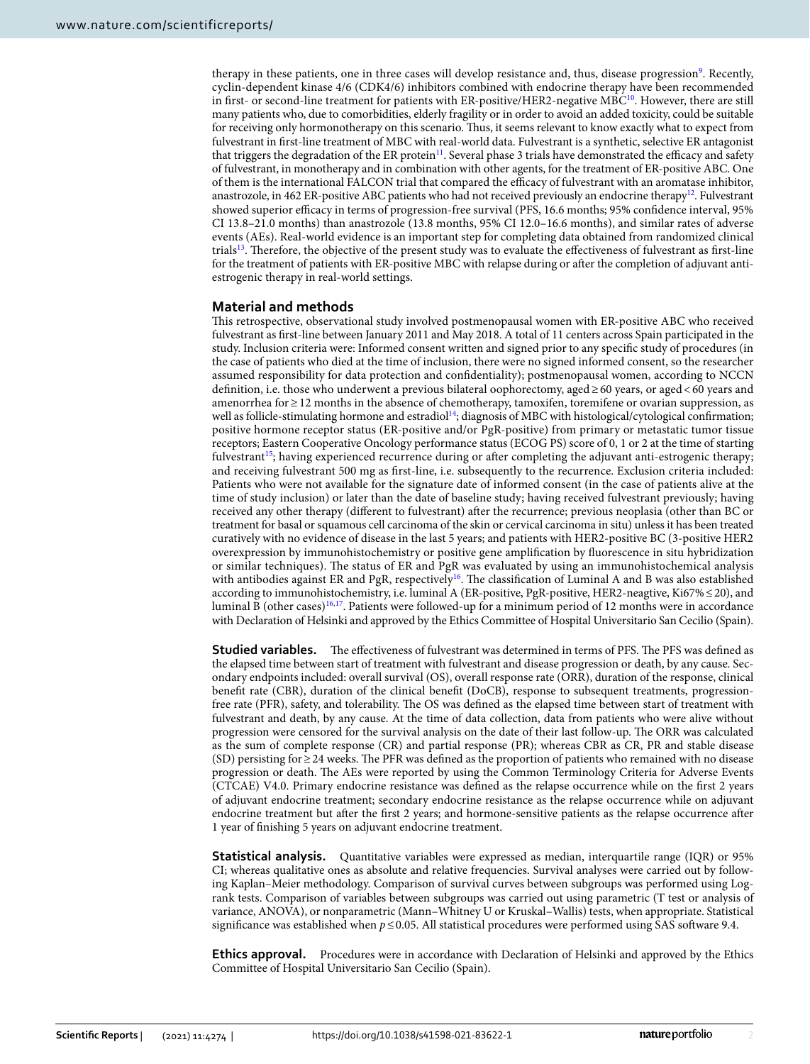therapy in these patients, one in three cases will develop resistance and, thus, disease progression<sup>[9](#page-7-8)</sup>. Recently, cyclin-dependent kinase 4/6 (CDK4/6) inhibitors combined with endocrine therapy have been recommended in first- or second-line treatment for patients with ER-positive/HER2-negative MBC<sup>10</sup>. However, there are still many patients who, due to comorbidities, elderly fragility or in order to avoid an added toxicity, could be suitable for receiving only hormonotherapy on this scenario. Thus, it seems relevant to know exactly what to expect from fulvestrant in frst-line treatment of MBC with real-world data. Fulvestrant is a synthetic, selective ER antagonist that triggers the degradation of the ER protein<sup>[11](#page-7-10)</sup>. Several phase 3 trials have demonstrated the efficacy and safety of fulvestrant, in monotherapy and in combination with other agents, for the treatment of ER-positive ABC. One of them is the international FALCON trial that compared the efficacy of fulvestrant with an aromatase inhibitor, anastrozole, in 462 ER-positive ABC patients who had not received previously an endocrine therapy<sup>12</sup>. Fulvestrant showed superior efficacy in terms of progression-free survival (PFS, 16.6 months; 95% confidence interval, 95% CI 13.8–21.0 months) than anastrozole (13.8 months, 95% CI 12.0–16.6 months), and similar rates of adverse events (AEs). Real-world evidence is an important step for completing data obtained from randomized clinical trials<sup>13</sup>. Therefore, the objective of the present study was to evaluate the effectiveness of fulvestrant as first-line for the treatment of patients with ER-positive MBC with relapse during or afer the completion of adjuvant antiestrogenic therapy in real-world settings.

# **Material and methods**

Tis retrospective, observational study involved postmenopausal women with ER-positive ABC who received fulvestrant as frst-line between January 2011 and May 2018. A total of 11 centers across Spain participated in the study. Inclusion criteria were: Informed consent written and signed prior to any specifc study of procedures (in the case of patients who died at the time of inclusion, there were no signed informed consent, so the researcher assumed responsibility for data protection and confdentiality); postmenopausal women, according to NCCN defnition, i.e. those who underwent a previous bilateral oophorectomy, aged≥60 years, or aged<60 years and amenorrhea for≥12 months in the absence of chemotherapy, tamoxifen, toremifene or ovarian suppression, as well as follicle-stimulating hormone and estradiol<sup>[14](#page-7-13)</sup>; diagnosis of MBC with histological/cytological confirmation; positive hormone receptor status (ER-positive and/or PgR-positive) from primary or metastatic tumor tissue receptors; Eastern Cooperative Oncology performance status (ECOG PS) score of 0, 1 or 2 at the time of starting fulvestrant<sup>15</sup>; having experienced recurrence during or after completing the adjuvant anti-estrogenic therapy; and receiving fulvestrant 500 mg as frst-line, i.e. subsequently to the recurrence. Exclusion criteria included: Patients who were not available for the signature date of informed consent (in the case of patients alive at the time of study inclusion) or later than the date of baseline study; having received fulvestrant previously; having received any other therapy (diferent to fulvestrant) afer the recurrence; previous neoplasia (other than BC or treatment for basal or squamous cell carcinoma of the skin or cervical carcinoma in situ) unless it has been treated curatively with no evidence of disease in the last 5 years; and patients with HER2-positive BC (3-positive HER2 overexpression by immunohistochemistry or positive gene amplifcation by fuorescence in situ hybridization or similar techniques). The status of ER and PgR was evaluated by using an immunohistochemical analysis with antibodies against ER and PgR, respectively<sup>16</sup>. The classification of Luminal A and B was also established according to immunohistochemistry, i.e. luminal A (ER-positive, PgR-positive, HER2-neagtive, Ki67%≤20), and luminal B (other cases)<sup>[16](#page-7-15),[17](#page-7-16)</sup>. Patients were followed-up for a minimum period of 12 months were in accordance with Declaration of Helsinki and approved by the Ethics Committee of Hospital Universitario San Cecilio (Spain).

**Studied variables.** The effectiveness of fulvestrant was determined in terms of PFS. The PFS was defined as the elapsed time between start of treatment with fulvestrant and disease progression or death, by any cause. Secondary endpoints included: overall survival (OS), overall response rate (ORR), duration of the response, clinical beneft rate (CBR), duration of the clinical beneft (DoCB), response to subsequent treatments, progressionfree rate (PFR), safety, and tolerability. The OS was defined as the elapsed time between start of treatment with fulvestrant and death, by any cause. At the time of data collection, data from patients who were alive without progression were censored for the survival analysis on the date of their last follow-up. The ORR was calculated as the sum of complete response (CR) and partial response (PR); whereas CBR as CR, PR and stable disease (SD) persisting for≥24 weeks. Te PFR was defned as the proportion of patients who remained with no disease progression or death. Te AEs were reported by using the Common Terminology Criteria for Adverse Events (CTCAE) V4.0. Primary endocrine resistance was defned as the relapse occurrence while on the frst 2 years of adjuvant endocrine treatment; secondary endocrine resistance as the relapse occurrence while on adjuvant endocrine treatment but after the first 2 years; and hormone-sensitive patients as the relapse occurrence after 1 year of fnishing 5 years on adjuvant endocrine treatment.

**Statistical analysis.** Quantitative variables were expressed as median, interquartile range (IQR) or 95% CI; whereas qualitative ones as absolute and relative frequencies. Survival analyses were carried out by following Kaplan–Meier methodology. Comparison of survival curves between subgroups was performed using Logrank tests. Comparison of variables between subgroups was carried out using parametric (T test or analysis of variance, ANOVA), or nonparametric (Mann–Whitney U or Kruskal–Wallis) tests, when appropriate. Statistical significance was established when *p*≤0.05. All statistical procedures were performed using SAS software 9.4.

**Ethics approval.** Procedures were in accordance with Declaration of Helsinki and approved by the Ethics Committee of Hospital Universitario San Cecilio (Spain).

2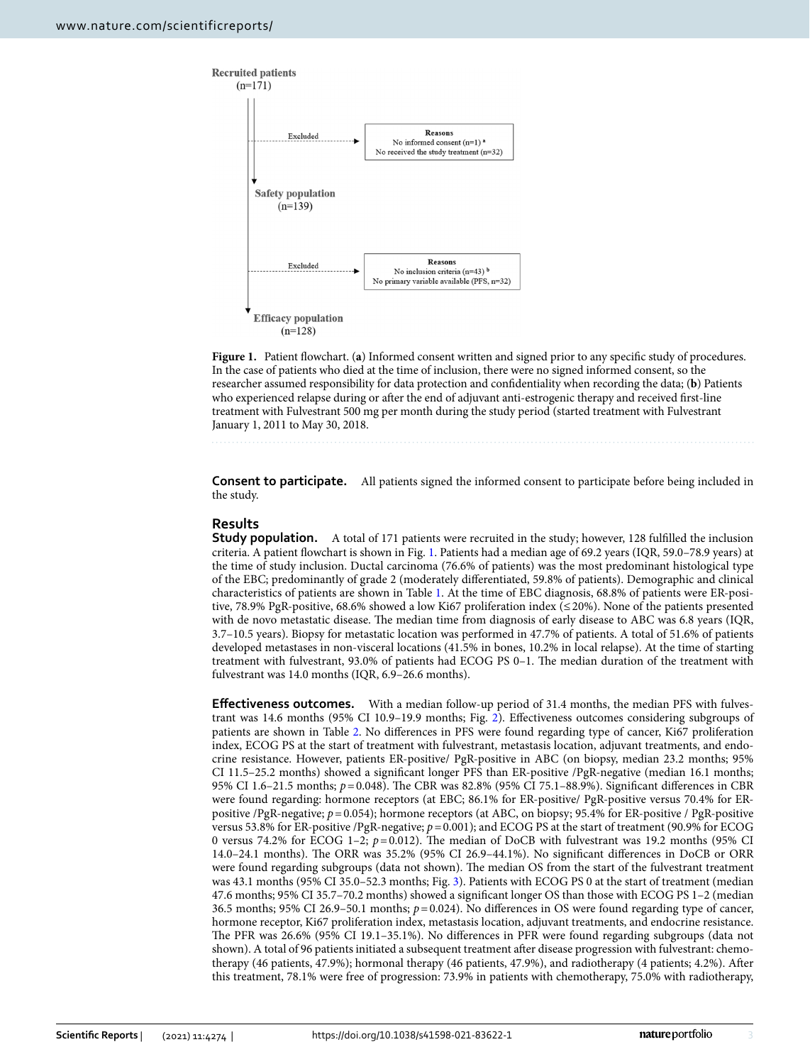

<span id="page-2-0"></span>**Figure 1.** Patient fowchart. (**a**) Informed consent written and signed prior to any specifc study of procedures. In the case of patients who died at the time of inclusion, there were no signed informed consent, so the researcher assumed responsibility for data protection and confdentiality when recording the data; (**b**) Patients who experienced relapse during or after the end of adjuvant anti-estrogenic therapy and received first-line treatment with Fulvestrant 500 mg per month during the study period (started treatment with Fulvestrant January 1, 2011 to May 30, 2018.

**Consent to participate.** All patients signed the informed consent to participate before being included in the study.

# **Results**

**Study population.** A total of 171 patients were recruited in the study; however, 128 fulfilled the inclusion criteria. A patient fowchart is shown in Fig. [1](#page-2-0). Patients had a median age of 69.2 years (IQR, 59.0–78.9 years) at the time of study inclusion. Ductal carcinoma (76.6% of patients) was the most predominant histological type of the EBC; predominantly of grade 2 (moderately diferentiated, 59.8% of patients). Demographic and clinical characteristics of patients are shown in Table [1](#page-4-0). At the time of EBC diagnosis, 68.8% of patients were ER-positive, 78.9% PgR-positive, 68.6% showed a low Ki67 proliferation index (≤20%). None of the patients presented with de novo metastatic disease. The median time from diagnosis of early disease to ABC was 6.8 years (IQR, 3.7–10.5 years). Biopsy for metastatic location was performed in 47.7% of patients. A total of 51.6% of patients developed metastases in non-visceral locations (41.5% in bones, 10.2% in local relapse). At the time of starting treatment with fulvestrant, 93.0% of patients had ECOG PS 0–1. Te median duration of the treatment with fulvestrant was 14.0 months (IQR, 6.9–26.6 months).

**Efectiveness outcomes.** With a median follow-up period of 31.4 months, the median PFS with fulvestrant was 14.6 months (95% CI 10.9–19.9 months; Fig. [2](#page-4-1)). Efectiveness outcomes considering subgroups of patients are shown in Table [2.](#page-5-0) No diferences in PFS were found regarding type of cancer, Ki67 proliferation index, ECOG PS at the start of treatment with fulvestrant, metastasis location, adjuvant treatments, and endocrine resistance. However, patients ER-positive/ PgR-positive in ABC (on biopsy, median 23.2 months; 95% CI 11.5–25.2 months) showed a signifcant longer PFS than ER-positive /PgR-negative (median 16.1 months; 95% CI 1.6–21.5 months; *p*=0.048). The CBR was 82.8% (95% CI 75.1–88.9%). Significant differences in CBR were found regarding: hormone receptors (at EBC; 86.1% for ER-positive/ PgR-positive versus 70.4% for ERpositive /PgR-negative; *p*=0.054); hormone receptors (at ABC, on biopsy; 95.4% for ER-positive / PgR-positive versus 53.8% for ER-positive /PgR-negative; *p*=0.001); and ECOG PS at the start of treatment (90.9% for ECOG 0 versus 74.2% for ECOG 1–2;  $p=0.012$ ). The median of DoCB with fulvestrant was 19.2 months (95% CI 14.0–24.1 months). The ORR was 35.2% (95% CI 26.9–44.1%). No significant differences in DoCB or ORR were found regarding subgroups (data not shown). The median OS from the start of the fulvestrant treatment was 43.1 months (95% CI 35.0–52.3 months; Fig. [3](#page-6-0)). Patients with ECOG PS 0 at the start of treatment (median 47.6 months; 95% CI 35.7–70.2 months) showed a signifcant longer OS than those with ECOG PS 1–2 (median 36.5 months; 95% CI 26.9–50.1 months; *p*=0.024). No diferences in OS were found regarding type of cancer, hormone receptor, Ki67 proliferation index, metastasis location, adjuvant treatments, and endocrine resistance. The PFR was 26.6% (95% CI 19.1–35.1%). No differences in PFR were found regarding subgroups (data not shown). A total of 96 patients initiated a subsequent treatment afer disease progression with fulvestrant: chemotherapy (46 patients, 47.9%); hormonal therapy (46 patients, 47.9%), and radiotherapy (4 patients; 4.2%). Afer this treatment, 78.1% were free of progression: 73.9% in patients with chemotherapy, 75.0% with radiotherapy,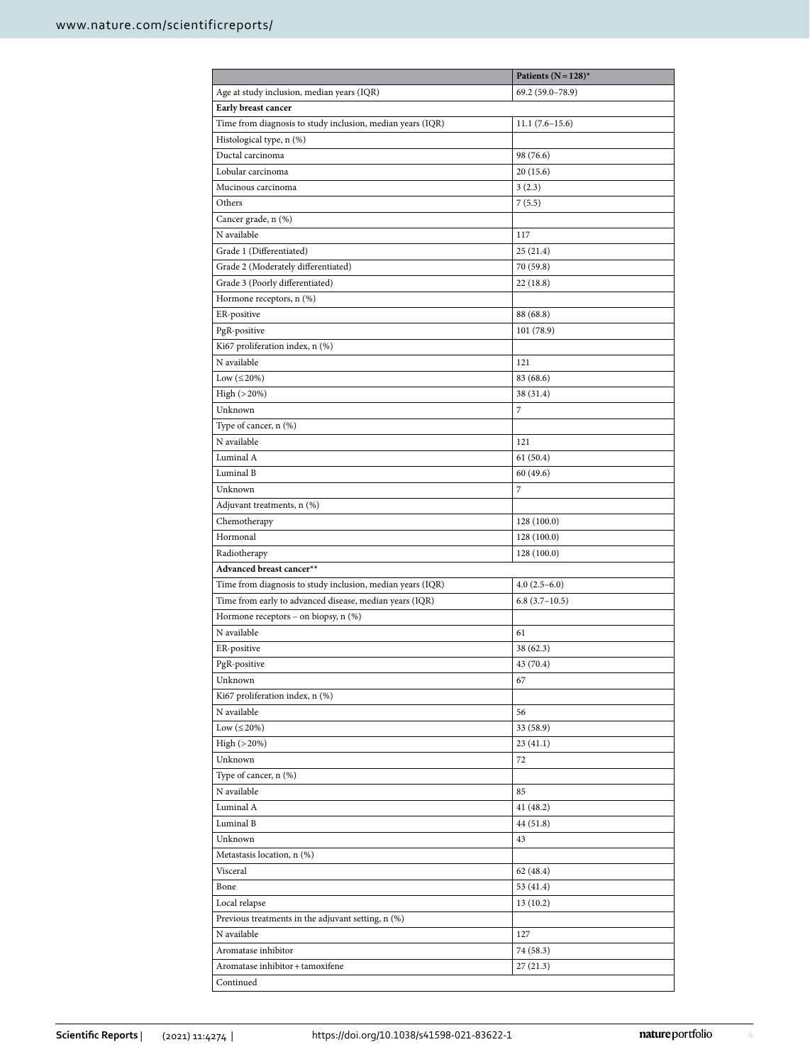|                                                            | Patients ( $N = 128$ )* |  |  |  |  |  |
|------------------------------------------------------------|-------------------------|--|--|--|--|--|
| Age at study inclusion, median years (IQR)                 | 69.2 (59.0-78.9)        |  |  |  |  |  |
| Early breast cancer                                        |                         |  |  |  |  |  |
| Time from diagnosis to study inclusion, median years (IQR) | $11.1(7.6-15.6)$        |  |  |  |  |  |
| Histological type, n (%)                                   |                         |  |  |  |  |  |
| Ductal carcinoma                                           | 98 (76.6)               |  |  |  |  |  |
| Lobular carcinoma                                          | 20(15.6)                |  |  |  |  |  |
| Mucinous carcinoma                                         | 3(2.3)                  |  |  |  |  |  |
| Others                                                     | 7(5.5)                  |  |  |  |  |  |
| Cancer grade, n (%)                                        |                         |  |  |  |  |  |
| N available                                                | 117                     |  |  |  |  |  |
| Grade 1 (Differentiated)                                   | 25(21.4)                |  |  |  |  |  |
| Grade 2 (Moderately differentiated)                        | 70 (59.8)               |  |  |  |  |  |
| Grade 3 (Poorly differentiated)                            | 22(18.8)                |  |  |  |  |  |
| Hormone receptors, n (%)                                   |                         |  |  |  |  |  |
| ER-positive                                                | 88 (68.8)               |  |  |  |  |  |
| PgR-positive                                               | 101 (78.9)              |  |  |  |  |  |
| Ki67 proliferation index, n (%)                            |                         |  |  |  |  |  |
| N available                                                | 121                     |  |  |  |  |  |
| Low $(\leq 20\%)$                                          | 83 (68.6)               |  |  |  |  |  |
| High (>20%)                                                | 38 (31.4)               |  |  |  |  |  |
| Unknown                                                    | 7                       |  |  |  |  |  |
| Type of cancer, n (%)                                      |                         |  |  |  |  |  |
| N available                                                | 121                     |  |  |  |  |  |
| Luminal A                                                  | 61(50.4)                |  |  |  |  |  |
| Luminal B                                                  | 60 (49.6)               |  |  |  |  |  |
| Unknown                                                    | 7                       |  |  |  |  |  |
| Adjuvant treatments, n (%)                                 |                         |  |  |  |  |  |
| Chemotherapy                                               | 128 (100.0)             |  |  |  |  |  |
| Hormonal                                                   | 128 (100.0)             |  |  |  |  |  |
| Radiotherapy                                               | 128 (100.0)             |  |  |  |  |  |
| Advanced breast cancer**                                   |                         |  |  |  |  |  |
| Time from diagnosis to study inclusion, median years (IQR) | $4.0(2.5-6.0)$          |  |  |  |  |  |
| Time from early to advanced disease, median years (IQR)    | $6.8(3.7-10.5)$         |  |  |  |  |  |
| Hormone receptors - on biopsy, n (%)                       |                         |  |  |  |  |  |
| N available                                                | 61                      |  |  |  |  |  |
| ER-positive                                                | 38 (62.3)               |  |  |  |  |  |
| PgR-positive                                               | 43 (70.4)               |  |  |  |  |  |
| Unknown                                                    | 67                      |  |  |  |  |  |
| Ki67 proliferation index, n (%)                            |                         |  |  |  |  |  |
| N available                                                | 56                      |  |  |  |  |  |
| Low $(\leq 20\%)$                                          | 33 (58.9)               |  |  |  |  |  |
| $High ( > 20\%)$                                           | 23(41.1)                |  |  |  |  |  |
| Unknown                                                    | 72                      |  |  |  |  |  |
| Type of cancer, n (%)                                      |                         |  |  |  |  |  |
| N available                                                | 85                      |  |  |  |  |  |
| Luminal A                                                  | 41 (48.2)               |  |  |  |  |  |
| Luminal B                                                  | 44 (51.8)               |  |  |  |  |  |
| Unknown                                                    | 43                      |  |  |  |  |  |
| Metastasis location, n (%)                                 |                         |  |  |  |  |  |
| Visceral                                                   | 62 (48.4)               |  |  |  |  |  |
| Bone                                                       | 53 (41.4)               |  |  |  |  |  |
| Local relapse                                              | 13(10.2)                |  |  |  |  |  |
| Previous treatments in the adjuvant setting, n (%)         |                         |  |  |  |  |  |
| N available                                                | 127                     |  |  |  |  |  |
| Aromatase inhibitor                                        | 74 (58.3)               |  |  |  |  |  |
| Aromatase inhibitor + tamoxifene                           | 27(21.3)                |  |  |  |  |  |
| Continued                                                  |                         |  |  |  |  |  |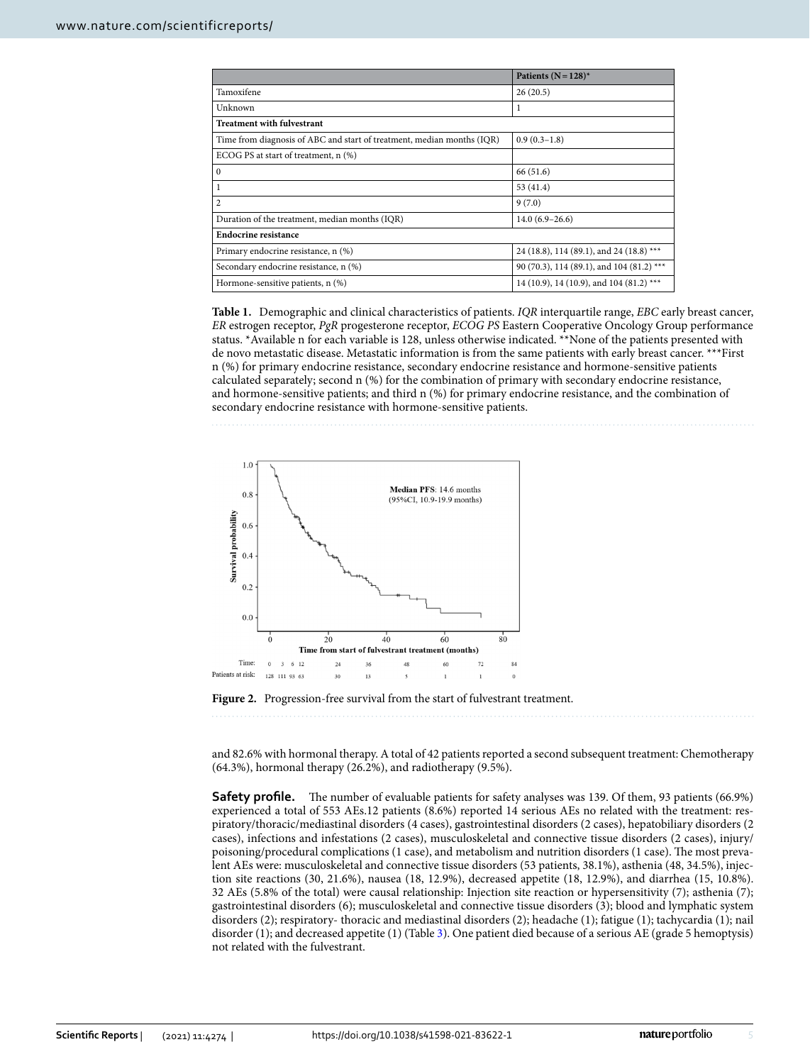|                                                                        | Patients ( $N = 128$ )*                   |  |  |  |  |  |
|------------------------------------------------------------------------|-------------------------------------------|--|--|--|--|--|
| Tamoxifene                                                             | 26(20.5)                                  |  |  |  |  |  |
| Unknown                                                                | 1                                         |  |  |  |  |  |
| <b>Treatment with fulvestrant</b>                                      |                                           |  |  |  |  |  |
| Time from diagnosis of ABC and start of treatment, median months (IQR) | $0.9(0.3-1.8)$                            |  |  |  |  |  |
| ECOG PS at start of treatment, n (%)                                   |                                           |  |  |  |  |  |
| $\mathbf{0}$                                                           | 66 (51.6)                                 |  |  |  |  |  |
| 1                                                                      | 53 (41.4)                                 |  |  |  |  |  |
| $\overline{2}$                                                         | 9(7.0)                                    |  |  |  |  |  |
| Duration of the treatment, median months (IQR)                         | $14.0(6.9-26.6)$                          |  |  |  |  |  |
| Endocrine resistance                                                   |                                           |  |  |  |  |  |
| Primary endocrine resistance, n (%)                                    | 24 (18.8), 114 (89.1), and 24 (18.8) ***  |  |  |  |  |  |
| Secondary endocrine resistance, n (%)                                  | 90 (70.3), 114 (89.1), and 104 (81.2) *** |  |  |  |  |  |
| Hormone-sensitive patients, n (%)                                      | 14 (10.9), 14 (10.9), and 104 (81.2) ***  |  |  |  |  |  |

<span id="page-4-0"></span>**Table 1.** Demographic and clinical characteristics of patients. *IQR* interquartile range, *EBC* early breast cancer, *ER* estrogen receptor, *PgR* progesterone receptor, *ECOG PS* Eastern Cooperative Oncology Group performance status. \*Available n for each variable is 128, unless otherwise indicated. \*\*None of the patients presented with de novo metastatic disease. Metastatic information is from the same patients with early breast cancer. \*\*\*First n (%) for primary endocrine resistance, secondary endocrine resistance and hormone-sensitive patients calculated separately; second n (%) for the combination of primary with secondary endocrine resistance, and hormone-sensitive patients; and third n (%) for primary endocrine resistance, and the combination of secondary endocrine resistance with hormone-sensitive patients.



<span id="page-4-1"></span>

and 82.6% with hormonal therapy. A total of 42 patients reported a second subsequent treatment: Chemotherapy (64.3%), hormonal therapy (26.2%), and radiotherapy (9.5%).

**Safety profile.** The number of evaluable patients for safety analyses was 139. Of them, 93 patients (66.9%) experienced a total of 553 AEs.12 patients (8.6%) reported 14 serious AEs no related with the treatment: respiratory/thoracic/mediastinal disorders (4 cases), gastrointestinal disorders (2 cases), hepatobiliary disorders (2 cases), infections and infestations (2 cases), musculoskeletal and connective tissue disorders (2 cases), injury/ poisoning/procedural complications (1 case), and metabolism and nutrition disorders (1 case). The most prevalent AEs were: musculoskeletal and connective tissue disorders (53 patients, 38.1%), asthenia (48, 34.5%), injection site reactions (30, 21.6%), nausea (18, 12.9%), decreased appetite (18, 12.9%), and diarrhea (15, 10.8%). 32 AEs (5.8% of the total) were causal relationship: Injection site reaction or hypersensitivity (7); asthenia (7); gastrointestinal disorders (6); musculoskeletal and connective tissue disorders (3); blood and lymphatic system disorders (2); respiratory- thoracic and mediastinal disorders (2); headache (1); fatigue (1); tachycardia (1); nail disorder (1); and decreased appetite (1) (Table [3\)](#page-6-1). One patient died because of a serious AE (grade 5 hemoptysis) not related with the fulvestrant.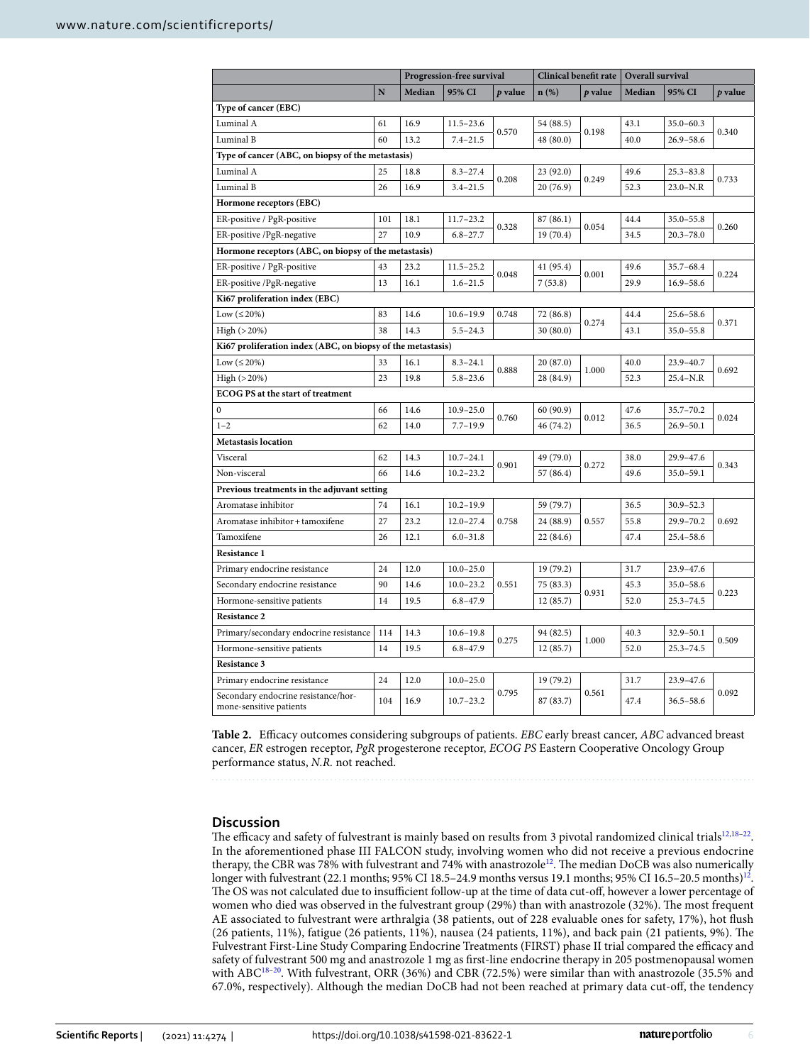|                                                                |     | Progression-free survival |               | Clinical benefit rate |           | Overall survival |        |               |         |
|----------------------------------------------------------------|-----|---------------------------|---------------|-----------------------|-----------|------------------|--------|---------------|---------|
|                                                                | N   | Median                    | 95% CI        | p value               | $n(\%)$   | p value          | Median | 95% CI        | p value |
| Type of cancer (EBC)                                           |     |                           |               |                       |           |                  |        |               |         |
| Luminal A                                                      | 61  | 16.9                      | $11.5 - 23.6$ | 0.570                 | 54 (88.5) | 0.198            | 43.1   | $35.0 - 60.3$ | 0.340   |
| Luminal B                                                      | 60  | 13.2                      | $7.4 - 21.5$  |                       | 48 (80.0) |                  | 40.0   | $26.9 - 58.6$ |         |
| Type of cancer (ABC, on biopsy of the metastasis)              |     |                           |               |                       |           |                  |        |               |         |
| Luminal A                                                      | 25  | 18.8                      | $8.3 - 27.4$  | 0.208                 | 23 (92.0) | 0.249            | 49.6   | $25.3 - 83.8$ | 0.733   |
| Luminal B                                                      | 26  | 16.9                      | $3.4 - 21.5$  |                       | 20 (76.9) |                  | 52.3   | $23.0 - N.R$  |         |
| Hormone receptors (EBC)                                        |     |                           |               |                       |           |                  |        |               |         |
| ER-positive / PgR-positive                                     | 101 | 18.1                      | $11.7 - 23.2$ |                       | 87 (86.1) | 0.054            | 44.4   | $35.0 - 55.8$ | 0.260   |
| ER-positive /PgR-negative                                      | 27  | 10.9                      | $6.8 - 27.7$  | 0.328<br>19 (70.4)    |           |                  | 34.5   | $20.3 - 78.0$ |         |
| Hormone receptors (ABC, on biopsy of the metastasis)           |     |                           |               |                       |           |                  |        |               |         |
| ER-positive / PgR-positive                                     | 43  | 23.2                      | $11.5 - 25.2$ |                       | 41 (95.4) |                  | 49.6   | $35.7 - 68.4$ | 0.224   |
| ER-positive /PgR-negative                                      | 13  | 16.1                      | $1.6 - 21.5$  | 0.048                 | 7(53.8)   | 0.001            | 29.9   | $16.9 - 58.6$ |         |
| Ki67 proliferation index (EBC)                                 |     |                           |               |                       |           |                  |        |               |         |
| Low $(\leq 20\%)$                                              | 83  | 14.6                      | $10.6 - 19.9$ | 0.748                 | 72 (86.8) |                  | 44.4   | $25.6 - 58.6$ | 0.371   |
| High (>20%)                                                    | 38  | 14.3                      | $5.5 - 24.3$  |                       | 30 (80.0) | 0.274            | 43.1   | $35.0 - 55.8$ |         |
| Ki67 proliferation index (ABC, on biopsy of the metastasis)    |     |                           |               |                       |           |                  |        |               |         |
| Low $(\leq 20\%)$                                              | 33  | 16.1                      | $8.3 - 24.1$  | 0.888                 | 20 (87.0) |                  | 40.0   | $23.9 - 40.7$ | 0.692   |
| High (>20%)                                                    | 23  | 19.8                      | $5.8 - 23.6$  |                       | 28 (84.9) | 1.000            | 52.3   | $25.4 - N.R$  |         |
| ECOG PS at the start of treatment                              |     |                           |               |                       |           |                  |        |               |         |
| $\bf{0}$                                                       | 66  | 14.6                      | $10.9 - 25.0$ |                       | 60 (90.9) | 0.012            | 47.6   | $35.7 - 70.2$ | 0.024   |
| $1 - 2$                                                        | 62  | 14.0                      | $7.7 - 19.9$  | 0.760                 | 46 (74.2) |                  | 36.5   | $26.9 - 50.1$ |         |
| <b>Metastasis location</b>                                     |     |                           |               |                       |           |                  |        |               |         |
| Visceral                                                       | 62  | 14.3                      | $10.7 - 24.1$ |                       | 49 (79.0) | 0.272            | 38.0   | $29.9 - 47.6$ | 0.343   |
| Non-visceral                                                   | 66  | 14.6                      | $10.2 - 23.2$ | 0.901                 | 57 (86.4) |                  | 49.6   | $35.0 - 59.1$ |         |
| Previous treatments in the adjuvant setting                    |     |                           |               |                       |           |                  |        |               |         |
| Aromatase inhibitor                                            | 74  | 16.1                      | $10.2 - 19.9$ |                       | 59 (79.7) | 0.557            | 36.5   | $30.9 - 52.3$ | 0.692   |
| Aromatase inhibitor + tamoxifene                               | 27  | 23.2                      | $12.0 - 27.4$ | 0.758                 | 24 (88.9) |                  | 55.8   | $29.9 - 70.2$ |         |
| Tamoxifene                                                     | 26  | 12.1                      | $6.0 - 31.8$  |                       | 22 (84.6) |                  | 47.4   | $25.4 - 58.6$ |         |
| Resistance 1                                                   |     |                           |               |                       |           |                  |        |               |         |
| Primary endocrine resistance                                   | 24  | 12.0                      | $10.0 - 25.0$ |                       | 19 (79.2) |                  | 31.7   | $23.9 - 47.6$ |         |
| Secondary endocrine resistance                                 | 90  | 14.6                      | $10.0 - 23.2$ | 0.551                 | 75 (83.3) | 0.931            | 45.3   | $35.0 - 58.6$ | 0.223   |
| Hormone-sensitive patients                                     | 14  | 19.5                      | $6.8 - 47.9$  |                       | 12 (85.7) |                  | 52.0   | $25.3 - 74.5$ |         |
| <b>Resistance 2</b>                                            |     |                           |               |                       |           |                  |        |               |         |
| Primary/secondary endocrine resistance                         | 114 | 14.3                      | $10.6 - 19.8$ |                       | 94 (82.5) | 1.000            | 40.3   | $32.9 - 50.1$ | 0.509   |
| Hormone-sensitive patients                                     | 14  | 19.5                      | $6.8 - 47.9$  | 0.275                 | 12(85.7)  |                  | 52.0   | $25.3 - 74.5$ |         |
| <b>Resistance 3</b>                                            |     |                           |               |                       |           |                  |        |               |         |
| Primary endocrine resistance                                   | 24  | 12.0                      | $10.0 - 25.0$ | 0.795                 | 19 (79.2) | 0.561            | 31.7   | $23.9 - 47.6$ | 0.092   |
| Secondary endocrine resistance/hor-<br>mone-sensitive patients | 104 | 16.9                      | $10.7 - 23.2$ |                       | 87 (83.7) |                  | 47.4   | $36.5 - 58.6$ |         |

<span id="page-5-0"></span>**Table 2.** Efcacy outcomes considering subgroups of patients. *EBC* early breast cancer, *ABC* advanced breast cancer, *ER* estrogen receptor, *PgR* progesterone receptor, *ECOG PS* Eastern Cooperative Oncology Group performance status, *N.R.* not reached.

# **Discussion**

The efficacy and safety of fulvestrant is mainly based on results from 3 pivotal randomized clinical trials $12,18-22$  $12,18-22$  $12,18-22$  $12,18-22$ . In the aforementioned phase III FALCON study, involving women who did not receive a previous endocrine therapy, the CBR was 78% with fulvestrant and 74% with anastrozole<sup>12</sup>. The median DoCB was also numerically longer with fulvestrant (22.1 months; 95% CI 18.5–24.9 months versus 19.1 months; 95% CI 16.5–20.5 months)<sup>[12](#page-7-11)</sup>. The OS was not calculated due to insufficient follow-up at the time of data cut-off, however a lower percentage of women who died was observed in the fulvestrant group (29%) than with anastrozole (32%). The most frequent AE associated to fulvestrant were arthralgia (38 patients, out of 228 evaluable ones for safety, 17%), hot fush (26 patients, 11%), fatigue (26 patients, 11%), nausea (24 patients, 11%), and back pain (21 patients, 9%). Te Fulvestrant First-Line Study Comparing Endocrine Treatments (FIRST) phase II trial compared the efficacy and safety of fulvestrant 500 mg and anastrozole 1 mg as frst-line endocrine therapy in 205 postmenopausal women with ABC<sup>18–20</sup>. With fulvestrant, ORR (36%) and CBR (72.5%) were similar than with anastrozole (35.5% and 67.0%, respectively). Although the median DoCB had not been reached at primary data cut-off, the tendency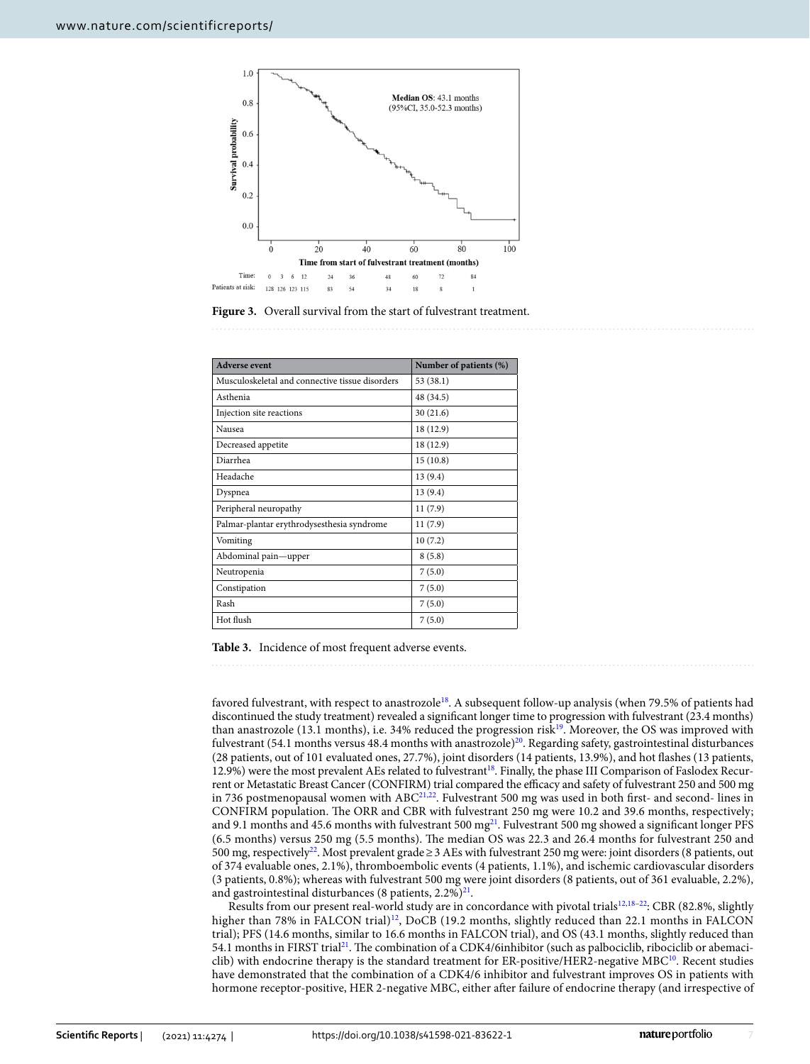

<span id="page-6-0"></span>

| <b>Adverse event</b>                            | Number of patients (%) |  |  |  |  |
|-------------------------------------------------|------------------------|--|--|--|--|
| Musculoskeletal and connective tissue disorders | 53 (38.1)              |  |  |  |  |
| Asthenia                                        | 48 (34.5)              |  |  |  |  |
| Injection site reactions                        | 30(21.6)               |  |  |  |  |
| Nausea                                          | 18 (12.9)              |  |  |  |  |
| Decreased appetite                              | 18 (12.9)              |  |  |  |  |
| Diarrhea                                        | 15(10.8)               |  |  |  |  |
| Headache                                        | 13(9.4)                |  |  |  |  |
| Dyspnea                                         | 13(9.4)                |  |  |  |  |
| Peripheral neuropathy                           | 11(7.9)                |  |  |  |  |
| Palmar-plantar erythrodysesthesia syndrome      | 11(7.9)                |  |  |  |  |
| Vomiting                                        | 10(7.2)                |  |  |  |  |
| Abdominal pain-upper                            | 8(5.8)                 |  |  |  |  |
| Neutropenia                                     | 7(5.0)                 |  |  |  |  |
| Constipation                                    | 7(5.0)                 |  |  |  |  |
| Rash                                            | 7(5.0)                 |  |  |  |  |
| Hot flush                                       | 7(5.0)                 |  |  |  |  |

<span id="page-6-1"></span>**Table 3.** Incidence of most frequent adverse events.

favored fulvestrant, with respect to anastrozol[e18.](#page-7-17) A subsequent follow-up analysis (when 79.5% of patients had discontinued the study treatment) revealed a signifcant longer time to progression with fulvestrant (23.4 months) than anastrozole (13.1 months), i.e. 34% reduced the progression risk[19](#page-7-19). Moreover, the OS was improved with fulvestrant (54.1 months versus 48.4 months with anastrozole)<sup>[20](#page-7-18)</sup>. Regarding safety, gastrointestinal disturbances (28 patients, out of 101 evaluated ones, 27.7%), joint disorders (14 patients, 13.9%), and hot fashes (13 patients, 12.9%) were the most prevalent AEs related to fulvestrant<sup>18</sup>. Finally, the phase III Comparison of Faslodex Recurrent or Metastatic Breast Cancer (CONFIRM) trial compared the efficacy and safety of fulvestrant 250 and 500 mg in 736 postmenopausal women with ABC<sup>21,22</sup>. Fulvestrant 500 mg was used in both first- and second- lines in CONFIRM population. The ORR and CBR with fulvestrant 250 mg were 10.2 and 39.6 months, respectively; and 9.1 months and 45.6 months with fulvestrant 500 mg $^{21}$ . Fulvestrant 500 mg showed a significant longer PFS (6.5 months) versus 250 mg (5.5 months). The median OS was 22.3 and 26.4 months for fulvestrant 250 and 500 mg, respectively[22](#page-8-0). Most prevalent grade≥3 AEs with fulvestrant 250 mg were: joint disorders (8 patients, out of 374 evaluable ones, 2.1%), thromboembolic events (4 patients, 1.1%), and ischemic cardiovascular disorders (3 patients, 0.8%); whereas with fulvestrant 500 mg were joint disorders (8 patients, out of 361 evaluable, 2.2%), and gastrointestinal disturbances (8 patients,  $2.2\%)^{21}$ .

Results from our present real-world study are in concordance with pivotal trials<sup>12[,18](#page-7-17)-22</sup>: CBR (82.8%, slightly higher than 78% in FALCON trial)<sup>[12](#page-7-11)</sup>, DoCB (19.2 months, slightly reduced than 22.1 months in FALCON trial); PFS (14.6 months, similar to 16.6 months in FALCON trial), and OS (43.1 months, slightly reduced than 54.1 months in FIRST trial<sup>21</sup>. The combination of a CDK4/6inhibitor (such as palbociclib, ribociclib or abemaci-clib) with endocrine therapy is the standard treatment for ER-positive/HER2-negative MBC<sup>[10](#page-7-9)</sup>. Recent studies have demonstrated that the combination of a CDK4/6 inhibitor and fulvestrant improves OS in patients with hormone receptor-positive, HER 2-negative MBC, either afer failure of endocrine therapy (and irrespective of

7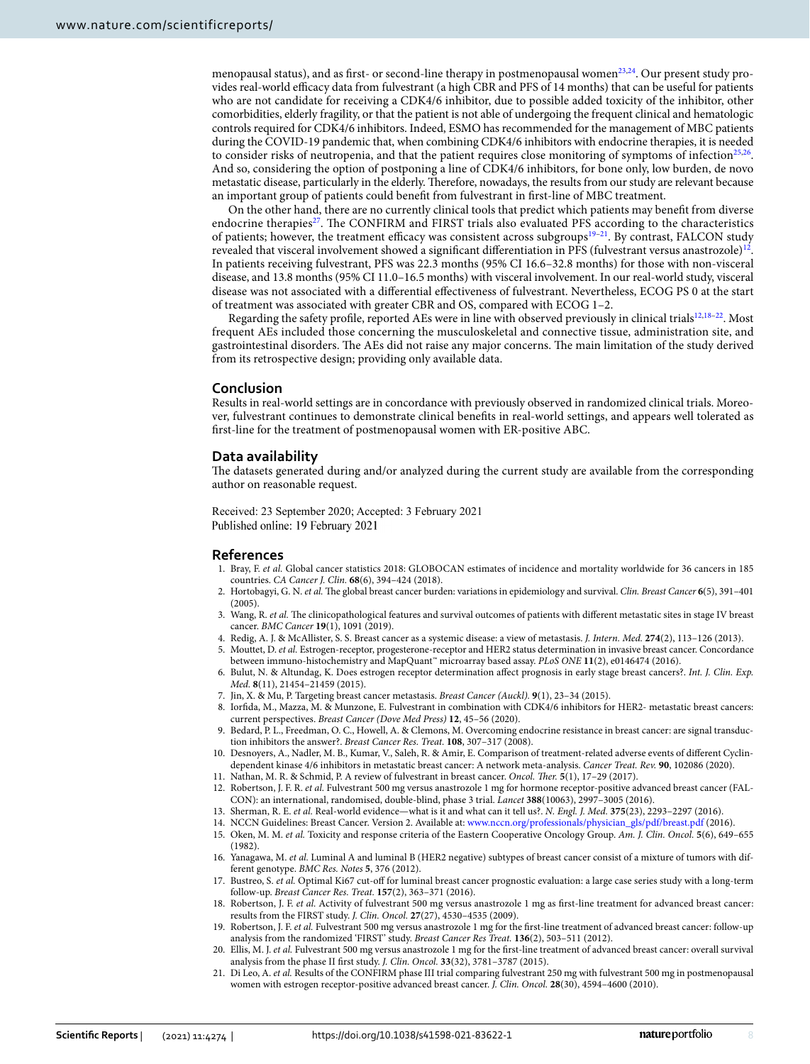menopausal status), and as first- or second-line therapy in postmenopausal women $23,24$  $23,24$  $23,24$ . Our present study provides real-world efficacy data from fulvestrant (a high CBR and PFS of 14 months) that can be useful for patients who are not candidate for receiving a CDK4/6 inhibitor, due to possible added toxicity of the inhibitor, other comorbidities, elderly fragility, or that the patient is not able of undergoing the frequent clinical and hematologic controls required for CDK4/6 inhibitors. Indeed, ESMO has recommended for the management of MBC patients during the COVID-19 pandemic that, when combining CDK4/6 inhibitors with endocrine therapies, it is needed to consider risks of neutropenia, and that the patient requires close monitoring of symptoms of infection $25,26$  $25,26$ . And so, considering the option of postponing a line of CDK4/6 inhibitors, for bone only, low burden, de novo metastatic disease, particularly in the elderly. Therefore, nowadays, the results from our study are relevant because an important group of patients could beneft from fulvestrant in frst-line of MBC treatment.

On the other hand, there are no currently clinical tools that predict which patients may beneft from diverse endocrine therapies<sup>27</sup>. The CONFIRM and FIRST trials also evaluated PFS according to the characteristics of patients; however, the treatment efficacy was consistent across subgroups $19-21$  $19-21$ . By contrast, FALCON study revealed that visceral involvement showed a signifcant diferentiation in PFS (fulvestrant versus anastrozole[\)12](#page-7-11). In patients receiving fulvestrant, PFS was 22.3 months (95% CI 16.6–32.8 months) for those with non-visceral disease, and 13.8 months (95% CI 11.0–16.5 months) with visceral involvement. In our real-world study, visceral disease was not associated with a diferential efectiveness of fulvestrant. Nevertheless, ECOG PS 0 at the start of treatment was associated with greater CBR and OS, compared with ECOG 1–2.

Regarding the safety profile, reported AEs were in line with observed previously in clinical trials $12,18-22$  $12,18-22$  $12,18-22$ . Most frequent AEs included those concerning the musculoskeletal and connective tissue, administration site, and gastrointestinal disorders. The AEs did not raise any major concerns. The main limitation of the study derived from its retrospective design; providing only available data.

### **Conclusion**

Results in real-world settings are in concordance with previously observed in randomized clinical trials. Moreover, fulvestrant continues to demonstrate clinical benefts in real-world settings, and appears well tolerated as frst-line for the treatment of postmenopausal women with ER-positive ABC.

#### **Data availability**

The datasets generated during and/or analyzed during the current study are available from the corresponding author on reasonable request.

Received: 23 September 2020; Accepted: 3 February 2021 Published online: 19 February 2021

#### **References**

- <span id="page-7-0"></span>1. Bray, F. *et al.* Global cancer statistics 2018: GLOBOCAN estimates of incidence and mortality worldwide for 36 cancers in 185 countries. *CA Cancer J. Clin.* **68**(6), 394–424 (2018).
- <span id="page-7-1"></span>2. Hortobagyi, G. N. et al. The global breast cancer burden: variations in epidemiology and survival. *Clin. Breast Cancer* 6(5), 391-401 (2005).
- <span id="page-7-2"></span>3. Wang, R. et al. The clinicopathological features and survival outcomes of patients with different metastatic sites in stage IV breast cancer. *BMC Cancer* **19**(1), 1091 (2019).
- <span id="page-7-3"></span>4. Redig, A. J. & McAllister, S. S. Breast cancer as a systemic disease: a view of metastasis. *J. Intern. Med.* **274**(2), 113–126 (2013).
- <span id="page-7-4"></span>5. Mouttet, D. *et al.* Estrogen-receptor, progesterone-receptor and HER2 status determination in invasive breast cancer. Concordance between immuno-histochemistry and MapQuant™ microarray based assay. *PLoS ONE* **11**(2), e0146474 (2016).
- <span id="page-7-5"></span>6. Bulut, N. & Altundag, K. Does estrogen receptor determination afect prognosis in early stage breast cancers?. *Int. J. Clin. Exp. Med.* **8**(11), 21454–21459 (2015).
- <span id="page-7-6"></span>7. Jin, X. & Mu, P. Targeting breast cancer metastasis. *Breast Cancer (Auckl).* **9**(1), 23–34 (2015).
- <span id="page-7-7"></span>8. Iorfda, M., Mazza, M. & Munzone, E. Fulvestrant in combination with CDK4/6 inhibitors for HER2- metastatic breast cancers: current perspectives. *Breast Cancer (Dove Med Press)* **12**, 45–56 (2020).
- <span id="page-7-8"></span>9. Bedard, P. L., Freedman, O. C., Howell, A. & Clemons, M. Overcoming endocrine resistance in breast cancer: are signal transduction inhibitors the answer?. *Breast Cancer Res. Treat.* **108**, 307–317 (2008).
- <span id="page-7-9"></span>10. Desnoyers, A., Nadler, M. B., Kumar, V., Saleh, R. & Amir, E. Comparison of treatment-related adverse events of diferent Cyclindependent kinase 4/6 inhibitors in metastatic breast cancer: A network meta-analysis. *Cancer Treat. Rev.* **90**, 102086 (2020).
- <span id="page-7-10"></span>11. Nathan, M. R. & Schmid, P. A review of fulvestrant in breast cancer. *Oncol. Ther.* **5**(1), 17-29 (2017).
- <span id="page-7-11"></span>12. Robertson, J. F. R. *et al.* Fulvestrant 500 mg versus anastrozole 1 mg for hormone receptor-positive advanced breast cancer (FAL-CON): an international, randomised, double-blind, phase 3 trial. *Lancet* **388**(10063), 2997–3005 (2016).
- <span id="page-7-12"></span>13. Sherman, R. E. *et al.* Real-world evidence—what is it and what can it tell us?. *N. Engl. J. Med.* **375**(23), 2293–2297 (2016).
- <span id="page-7-13"></span>14. NCCN Guidelines: Breast Cancer. Version 2. Available at: [www.nccn.org/professionals/physician\\_gls/pdf/breast.pdf](http://www.nccn.org/professionals/physician_gls/pdf/breast.pdf) (2016).
- <span id="page-7-14"></span>15. Oken, M. M. *et al.* Toxicity and response criteria of the Eastern Cooperative Oncology Group. *Am. J. Clin. Oncol.* **5**(6), 649–655 (1982).
- <span id="page-7-15"></span>16. Yanagawa, M. *et al.* Luminal A and luminal B (HER2 negative) subtypes of breast cancer consist of a mixture of tumors with different genotype. *BMC Res. Notes* **5**, 376 (2012).
- <span id="page-7-16"></span>17. Bustreo, S. *et al.* Optimal Ki67 cut-of for luminal breast cancer prognostic evaluation: a large case series study with a long-term follow-up. *Breast Cancer Res. Treat.* **157**(2), 363–371 (2016).
- <span id="page-7-17"></span>18. Robertson, J. F. *et al.* Activity of fulvestrant 500 mg versus anastrozole 1 mg as frst-line treatment for advanced breast cancer: results from the FIRST study. *J. Clin. Oncol.* **27**(27), 4530–4535 (2009).
- <span id="page-7-19"></span>19. Robertson, J. F. *et al.* Fulvestrant 500 mg versus anastrozole 1 mg for the frst-line treatment of advanced breast cancer: follow-up analysis from the randomized 'FIRST' study. *Breast Cancer Res Treat.* **136**(2), 503–511 (2012).
- <span id="page-7-18"></span>20. Ellis, M. J. *et al.* Fulvestrant 500 mg versus anastrozole 1 mg for the frst-line treatment of advanced breast cancer: overall survival analysis from the phase II frst study. *J. Clin. Oncol.* **33**(32), 3781–3787 (2015).
- <span id="page-7-20"></span>21. Di Leo, A. *et al.* Results of the CONFIRM phase III trial comparing fulvestrant 250 mg with fulvestrant 500 mg in postmenopausal women with estrogen receptor-positive advanced breast cancer. *J. Clin. Oncol.* **28**(30), 4594–4600 (2010).